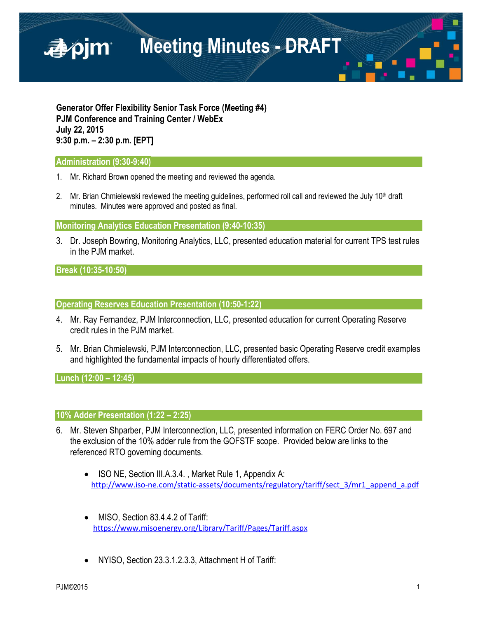

**Generator Offer Flexibility Senior Task Force (Meeting #4) PJM Conference and Training Center / WebEx July 22, 2015 9:30 p.m. – 2:30 p.m. [EPT]**

### **Administration (9:30-9:40)**

- 1. Mr. Richard Brown opened the meeting and reviewed the agenda.
- 2. Mr. Brian Chmielewski reviewed the meeting guidelines, performed roll call and reviewed the July 10<sup>th</sup> draft minutes. Minutes were approved and posted as final.

**Monitoring Analytics Education Presentation (9:40-10:35)**

3. Dr. Joseph Bowring, Monitoring Analytics, LLC, presented education material for current TPS test rules in the PJM market.

**Break (10:35-10:50)**

**Operating Reserves Education Presentation (10:50-1:22)**

- 4. Mr. Ray Fernandez, PJM Interconnection, LLC, presented education for current Operating Reserve credit rules in the PJM market.
- 5. Mr. Brian Chmielewski, PJM Interconnection, LLC, presented basic Operating Reserve credit examples and highlighted the fundamental impacts of hourly differentiated offers.

**Lunch (12:00 – 12:45)**

## **10% Adder Presentation (1:22 – 2:25)**

- 6. Mr. Steven Shparber, PJM Interconnection, LLC, presented information on FERC Order No. 697 and the exclusion of the 10% adder rule from the GOFSTF scope. Provided below are links to the referenced RTO governing documents.
	- ISO NE, Section III.A.3.4., Market Rule 1, Appendix A: [http://www.iso-ne.com/static-assets/documents/regulatory/tariff/sect\\_3/mr1\\_append\\_a.pdf](http://www.iso-ne.com/static-assets/documents/regulatory/tariff/sect_3/mr1_append_a.pdf)
	- MISO, Section 83.4.4.2 of Tariff: <https://www.misoenergy.org/Library/Tariff/Pages/Tariff.aspx>
	- NYISO, Section 23.3.1.2.3.3, Attachment H of Tariff: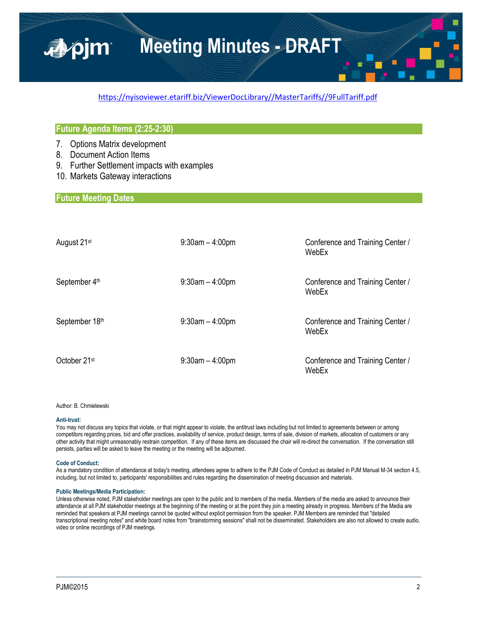### [https://nyisoviewer.etariff.biz/ViewerDocLibrary//MasterTariffs//9FullTariff.pdf](https://nyisoviewer.etariff.biz/ViewerDocLibrary/MasterTariffs/9FullTariff.pdf)

### **Future Agenda Items (2:25-2:30)**

- 7. Options Matrix development
- 8. Document Action Items

■pjm

- 9. Further Settlement impacts with examples
- 10. Markets Gateway interactions

### **Future Meeting Dates**

| August 21 <sup>st</sup> | $9:30$ am $-4:00$ pm | Conference and Training Center /<br>WebEx |
|-------------------------|----------------------|-------------------------------------------|
| September 4th           | $9:30$ am $-4:00$ pm | Conference and Training Center /<br>WebEx |
| September 18th          | $9:30$ am $-4:00$ pm | Conference and Training Center /<br>WebEx |
| October 21st            | $9:30$ am $-4:00$ pm | Conference and Training Center /<br>WebEx |

#### Author: B. Chmielewski

#### **Anti-trust:**

You may not discuss any topics that violate, or that might appear to violate, the antitrust laws including but not limited to agreements between or among competitors regarding prices, bid and offer practices, availability of service, product design, terms of sale, division of markets, allocation of customers or any other activity that might unreasonably restrain competition. If any of these items are discussed the chair will re-direct the conversation. If the conversation still persists, parties will be asked to leave the meeting or the meeting will be adjourned.

#### **Code of Conduct:**

As a mandatory condition of attendance at today's meeting, attendees agree to adhere to the PJM Code of Conduct as detailed in PJM Manual M-34 section 4.5, including, but not limited to, participants' responsibilities and rules regarding the dissemination of meeting discussion and materials.

#### **Public Meetings/Media Participation:**

Unless otherwise noted, PJM stakeholder meetings are open to the public and to members of the media. Members of the media are asked to announce their attendance at all PJM stakeholder meetings at the beginning of the meeting or at the point they join a meeting already in progress. Members of the Media are reminded that speakers at PJM meetings cannot be quoted without explicit permission from the speaker. PJM Members are reminded that "detailed transcriptional meeting notes" and white board notes from "brainstorming sessions" shall not be disseminated. Stakeholders are also not allowed to create audio, video or online recordings of PJM meetings.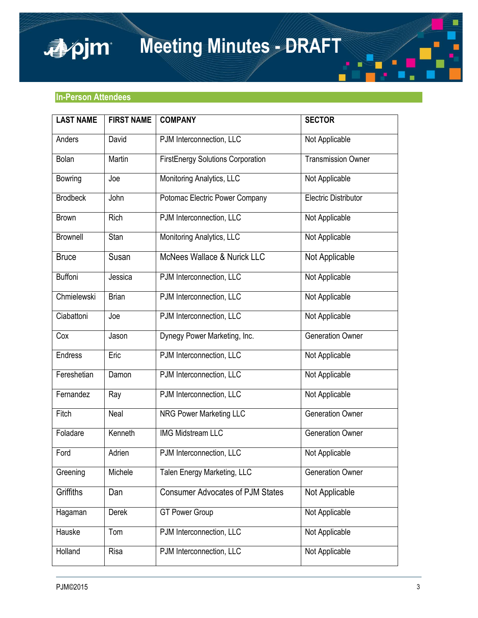## **In-Person Attendees**

apjm

| <b>LAST NAME</b> | <b>FIRST NAME</b> | <b>COMPANY</b>                           | <b>SECTOR</b>               |
|------------------|-------------------|------------------------------------------|-----------------------------|
| Anders           | David             | PJM Interconnection, LLC                 | Not Applicable              |
| Bolan            | Martin            | <b>FirstEnergy Solutions Corporation</b> | <b>Transmission Owner</b>   |
| <b>Bowring</b>   | Joe               | Monitoring Analytics, LLC                | Not Applicable              |
| <b>Brodbeck</b>  | John              | Potomac Electric Power Company           | <b>Electric Distributor</b> |
| <b>Brown</b>     | <b>Rich</b>       | PJM Interconnection, LLC                 | Not Applicable              |
| <b>Brownell</b>  | Stan              | Monitoring Analytics, LLC                | Not Applicable              |
| <b>Bruce</b>     | Susan             | McNees Wallace & Nurick LLC              | Not Applicable              |
| <b>Buffoni</b>   | Jessica           | PJM Interconnection, LLC                 | Not Applicable              |
| Chmielewski      | <b>Brian</b>      | PJM Interconnection, LLC                 | Not Applicable              |
| Ciabattoni       | Joe               | PJM Interconnection, LLC                 | Not Applicable              |
| Cox              | Jason             | Dynegy Power Marketing, Inc.             | <b>Generation Owner</b>     |
| Endress          | Eric              | PJM Interconnection, LLC                 | Not Applicable              |
| Fereshetian      | Damon             | PJM Interconnection, LLC                 | Not Applicable              |
| Fernandez        | Ray               | PJM Interconnection, LLC                 | Not Applicable              |
| Fitch            | Neal              | <b>NRG Power Marketing LLC</b>           | <b>Generation Owner</b>     |
| Foladare         | Kenneth           | <b>IMG Midstream LLC</b>                 | <b>Generation Owner</b>     |
| Ford             | Adrien            | PJM Interconnection, LLC                 | Not Applicable              |
| Greening         | Michele           | Talen Energy Marketing, LLC              | <b>Generation Owner</b>     |
| Griffiths        | Dan               | <b>Consumer Advocates of PJM States</b>  | Not Applicable              |
| Hagaman          | Derek             | <b>GT Power Group</b>                    | Not Applicable              |
| Hauske           | Tom               | PJM Interconnection, LLC                 | Not Applicable              |
| Holland          | Risa              | PJM Interconnection, LLC                 | Not Applicable              |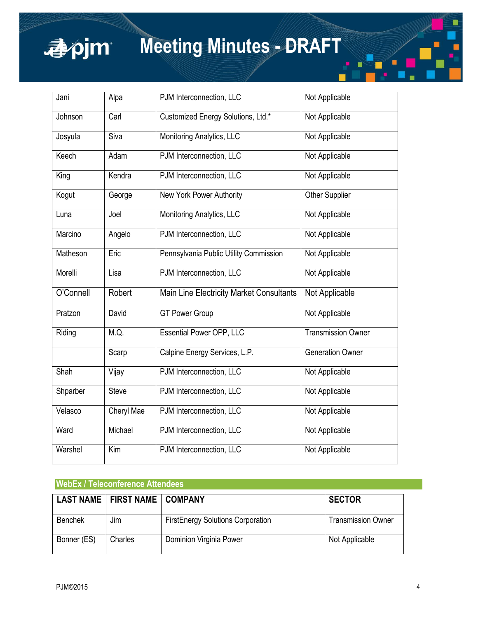

| Jani      | Alpa         | PJM Interconnection, LLC                 | Not Applicable            |
|-----------|--------------|------------------------------------------|---------------------------|
| Johnson   | Carl         | Customized Energy Solutions, Ltd.*       | Not Applicable            |
| Josyula   | Siva         | Monitoring Analytics, LLC                | Not Applicable            |
| Keech     | Adam         | PJM Interconnection, LLC                 | Not Applicable            |
| King      | Kendra       | PJM Interconnection, LLC                 | Not Applicable            |
| Kogut     | George       | <b>New York Power Authority</b>          | <b>Other Supplier</b>     |
| Luna      | Joel         | Monitoring Analytics, LLC                | Not Applicable            |
| Marcino   | Angelo       | PJM Interconnection, LLC                 | Not Applicable            |
| Matheson  | Eric         | Pennsylvania Public Utility Commission   | Not Applicable            |
| Morelli   | Lisa         | PJM Interconnection, LLC                 | Not Applicable            |
| O'Connell | Robert       | Main Line Electricity Market Consultants | Not Applicable            |
| Pratzon   | David        | <b>GT Power Group</b>                    | Not Applicable            |
| Riding    | M.Q.         | <b>Essential Power OPP, LLC</b>          | <b>Transmission Owner</b> |
|           | Scarp        | Calpine Energy Services, L.P.            | <b>Generation Owner</b>   |
| Shah      | Vijay        | PJM Interconnection, LLC                 | Not Applicable            |
| Shparber  | <b>Steve</b> | PJM Interconnection, LLC                 | Not Applicable            |
| Velasco   | Cheryl Mae   | PJM Interconnection, LLC                 | Not Applicable            |
| Ward      | Michael      | PJM Interconnection, LLC                 | Not Applicable            |
| Warshel   | Kim          | PJM Interconnection, LLC                 | Not Applicable            |

## **WebEx / Teleconference Attendees**

|                | LAST NAME   FIRST NAME   COMPANY |                                          | <b>SECTOR</b>             |
|----------------|----------------------------------|------------------------------------------|---------------------------|
| <b>Benchek</b> | Jim                              | <b>FirstEnergy Solutions Corporation</b> | <b>Transmission Owner</b> |
| Bonner (ES)    | Charles                          | Dominion Virginia Power                  | Not Applicable            |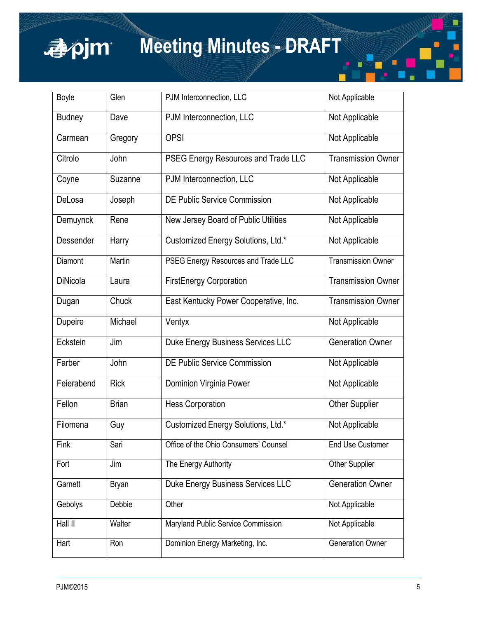

| Boyle           | Glen         | PJM Interconnection, LLC              | Not Applicable            |
|-----------------|--------------|---------------------------------------|---------------------------|
| Budney          | Dave         | PJM Interconnection, LLC              | Not Applicable            |
| Carmean         | Gregory      | <b>OPSI</b>                           | Not Applicable            |
| Citrolo         | John         | PSEG Energy Resources and Trade LLC   | <b>Transmission Owner</b> |
| Coyne           | Suzanne      | PJM Interconnection, LLC              | Not Applicable            |
| DeLosa          | Joseph       | <b>DE Public Service Commission</b>   | Not Applicable            |
| Demuynck        | Rene         | New Jersey Board of Public Utilities  | Not Applicable            |
| Dessender       | Harry        | Customized Energy Solutions, Ltd.*    | Not Applicable            |
| Diamont         | Martin       | PSEG Energy Resources and Trade LLC   | <b>Transmission Owner</b> |
| <b>DiNicola</b> | Laura        | <b>FirstEnergy Corporation</b>        | <b>Transmission Owner</b> |
| Dugan           | Chuck        | East Kentucky Power Cooperative, Inc. | <b>Transmission Owner</b> |
| Dupeire         | Michael      | Ventyx                                | Not Applicable            |
| Eckstein        | Jim          | Duke Energy Business Services LLC     | <b>Generation Owner</b>   |
| Farber          | John         | <b>DE Public Service Commission</b>   | Not Applicable            |
| Feierabend      | <b>Rick</b>  | Dominion Virginia Power               | Not Applicable            |
| Fellon          | <b>Brian</b> | <b>Hess Corporation</b>               | <b>Other Supplier</b>     |
| Filomena        | Guy          | Customized Energy Solutions, Ltd.*    | Not Applicable            |
| Fink            | Sari         | Office of the Ohio Consumers' Counsel | <b>End Use Customer</b>   |
| Fort            | Jim          | The Energy Authority                  | Other Supplier            |
| Garnett         | <b>Bryan</b> | Duke Energy Business Services LLC     | <b>Generation Owner</b>   |
| Gebolys         | Debbie       | Other                                 | Not Applicable            |
| Hall II         | Walter       | Maryland Public Service Commission    | Not Applicable            |
| Hart            | Ron          | Dominion Energy Marketing, Inc.       | <b>Generation Owner</b>   |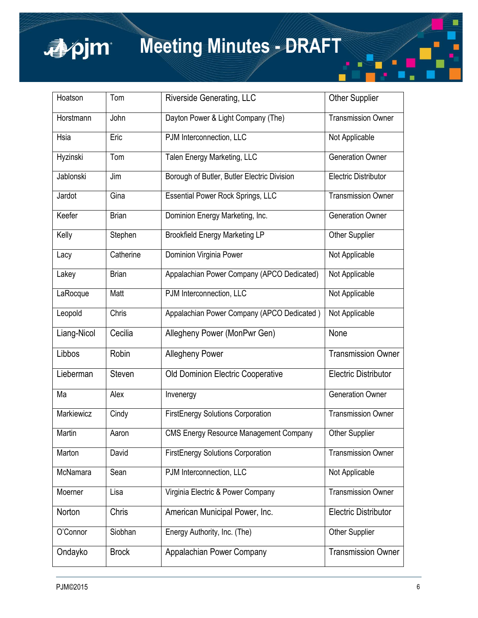

| Hoatson     | Tom          | <b>Riverside Generating, LLC</b>              | <b>Other Supplier</b>       |
|-------------|--------------|-----------------------------------------------|-----------------------------|
| Horstmann   | John         | Dayton Power & Light Company (The)            | <b>Transmission Owner</b>   |
| Hsia        | Eric         | PJM Interconnection, LLC                      | Not Applicable              |
| Hyzinski    | Tom          | Talen Energy Marketing, LLC                   | <b>Generation Owner</b>     |
| Jablonski   | Jim          | Borough of Butler, Butler Electric Division   | <b>Electric Distributor</b> |
| Jardot      | Gina         | <b>Essential Power Rock Springs, LLC</b>      | <b>Transmission Owner</b>   |
| Keefer      | <b>Brian</b> | Dominion Energy Marketing, Inc.               | <b>Generation Owner</b>     |
| Kelly       | Stephen      | <b>Brookfield Energy Marketing LP</b>         | <b>Other Supplier</b>       |
| Lacy        | Catherine    | Dominion Virginia Power                       | Not Applicable              |
| Lakey       | <b>Brian</b> | Appalachian Power Company (APCO Dedicated)    | Not Applicable              |
| LaRocque    | Matt         | PJM Interconnection, LLC                      | Not Applicable              |
| Leopold     | Chris        | Appalachian Power Company (APCO Dedicated)    | Not Applicable              |
| Liang-Nicol | Cecilia      | Allegheny Power (MonPwr Gen)                  | None                        |
| Libbos      | Robin        | <b>Allegheny Power</b>                        | <b>Transmission Owner</b>   |
| Lieberman   | Steven       | Old Dominion Electric Cooperative             | <b>Electric Distributor</b> |
| Ma          | Alex         | Invenergy                                     | <b>Generation Owner</b>     |
| Markiewicz  | Cindy        | <b>FirstEnergy Solutions Corporation</b>      | <b>Transmission Owner</b>   |
| Martin      | Aaron        | <b>CMS Energy Resource Management Company</b> | Other Supplier              |
| Marton      | David        | <b>FirstEnergy Solutions Corporation</b>      | <b>Transmission Owner</b>   |
| McNamara    | Sean         | PJM Interconnection, LLC                      | Not Applicable              |
| Moerner     | Lisa         | Virginia Electric & Power Company             | <b>Transmission Owner</b>   |
| Norton      | Chris        | American Municipal Power, Inc.                | <b>Electric Distributor</b> |
|             |              |                                               |                             |
| O'Connor    | Siobhan      | Energy Authority, Inc. (The)                  | Other Supplier              |

Г